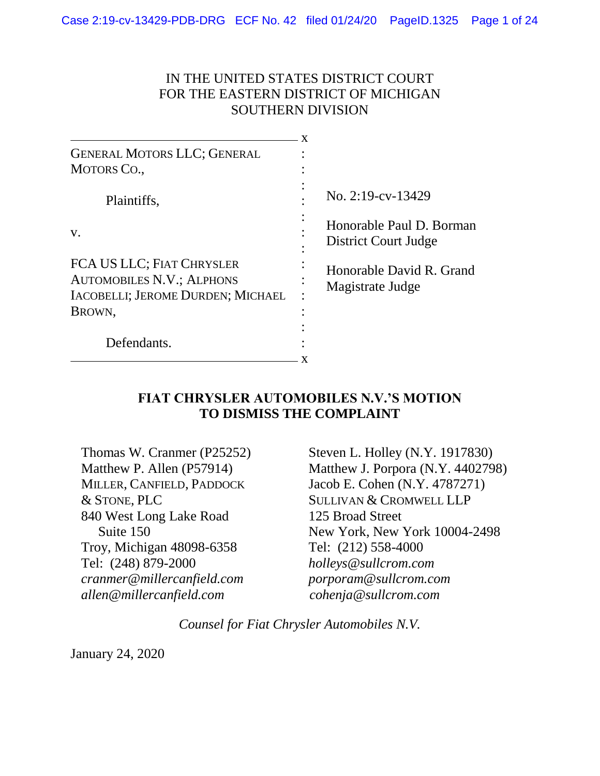#### IN THE UNITED STATES DISTRICT COURT FOR THE EASTERN DISTRICT OF MICHIGAN SOUTHERN DIVISION

| <b>GENERAL MOTORS LLC; GENERAL</b>                            |  |                                                  |
|---------------------------------------------------------------|--|--------------------------------------------------|
| <b>MOTORS CO.,</b>                                            |  |                                                  |
| Plaintiffs,                                                   |  | No. 2:19-cv-13429                                |
| V.                                                            |  | Honorable Paul D. Borman<br>District Court Judge |
| FCA US LLC; FIAT CHRYSLER<br><b>AUTOMOBILES N.V.; ALPHONS</b> |  | Honorable David R. Grand<br>Magistrate Judge     |
| IACOBELLI; JEROME DURDEN; MICHAEL                             |  |                                                  |
| BROWN,                                                        |  |                                                  |
|                                                               |  |                                                  |
| Defendants.                                                   |  |                                                  |
|                                                               |  |                                                  |

#### **FIAT CHRYSLER AUTOMOBILES N.V.'S MOTION TO DISMISS THE COMPLAINT**

| Thomas W. Cranmer (P25252) |
|----------------------------|
| Matthew P. Allen (P57914)  |
| MILLER, CANFIELD, PADDOCK  |
| & STONE, PLC               |
| 840 West Long Lake Road    |
| Suite 150                  |
| Troy, Michigan 48098-6358  |
| Tel: (248) 879-2000        |
| cranmer@millercanfield.com |
| allen@millercanfield.com   |

Steven L. Holley (N.Y. 1917830) Matthew J. Porpora (N.Y. 4402798) Jacob E. Cohen (N.Y. 4787271) SULLIVAN & CROMWELL LLP 125 Broad Street New York, New York 10004-2498 Tel: (212) 558-4000 *holleys@sullcrom.com porporam@sullcrom.com cohenja@sullcrom.com*

*Counsel for Fiat Chrysler Automobiles N.V.*

January 24, 2020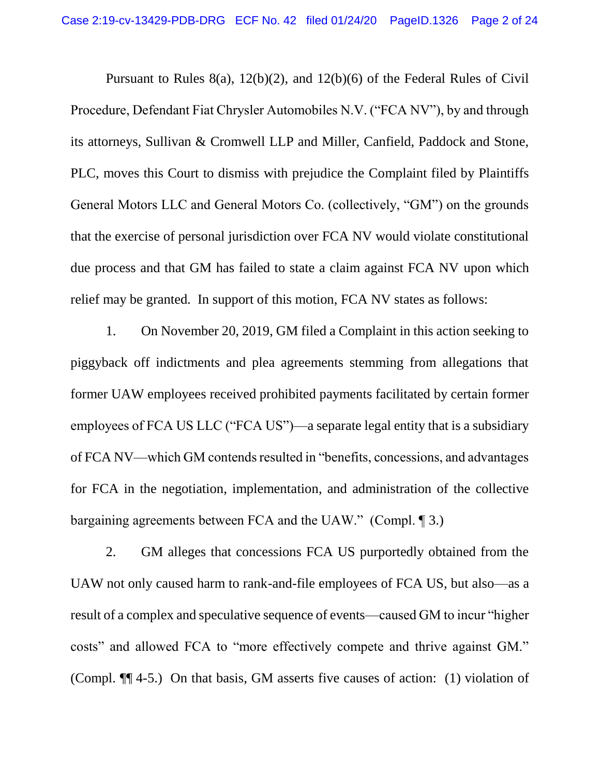Pursuant to Rules 8(a), 12(b)(2), and 12(b)(6) of the Federal Rules of Civil Procedure, Defendant Fiat Chrysler Automobiles N.V. ("FCA NV"), by and through its attorneys, Sullivan & Cromwell LLP and Miller, Canfield, Paddock and Stone, PLC, moves this Court to dismiss with prejudice the Complaint filed by Plaintiffs General Motors LLC and General Motors Co. (collectively, "GM") on the grounds that the exercise of personal jurisdiction over FCA NV would violate constitutional due process and that GM has failed to state a claim against FCA NV upon which relief may be granted. In support of this motion, FCA NV states as follows:

1. On November 20, 2019, GM filed a Complaint in this action seeking to piggyback off indictments and plea agreements stemming from allegations that former UAW employees received prohibited payments facilitated by certain former employees of FCA US LLC ("FCA US")—a separate legal entity that is a subsidiary of FCA NV—which GM contends resulted in "benefits, concessions, and advantages for FCA in the negotiation, implementation, and administration of the collective bargaining agreements between FCA and the UAW." (Compl. ¶ 3.)

2. GM alleges that concessions FCA US purportedly obtained from the UAW not only caused harm to rank-and-file employees of FCA US, but also—as a result of a complex and speculative sequence of events—caused GM to incur "higher costs" and allowed FCA to "more effectively compete and thrive against GM." (Compl. ¶¶ 4-5.) On that basis, GM asserts five causes of action: (1) violation of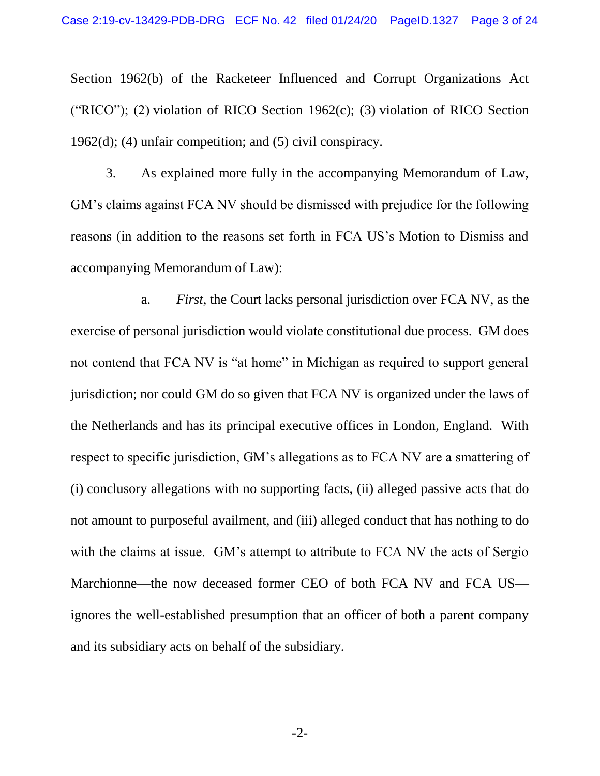Section 1962(b) of the Racketeer Influenced and Corrupt Organizations Act ("RICO"); (2) violation of RICO Section 1962(c); (3) violation of RICO Section 1962(d); (4) unfair competition; and (5) civil conspiracy.

3. As explained more fully in the accompanying Memorandum of Law, GM's claims against FCA NV should be dismissed with prejudice for the following reasons (in addition to the reasons set forth in FCA US's Motion to Dismiss and accompanying Memorandum of Law):

a. *First*, the Court lacks personal jurisdiction over FCA NV, as the exercise of personal jurisdiction would violate constitutional due process. GM does not contend that FCA NV is "at home" in Michigan as required to support general jurisdiction; nor could GM do so given that FCA NV is organized under the laws of the Netherlands and has its principal executive offices in London, England. With respect to specific jurisdiction, GM's allegations as to FCA NV are a smattering of (i) conclusory allegations with no supporting facts, (ii) alleged passive acts that do not amount to purposeful availment, and (iii) alleged conduct that has nothing to do with the claims at issue. GM's attempt to attribute to FCA NV the acts of Sergio Marchionne—the now deceased former CEO of both FCA NV and FCA US ignores the well-established presumption that an officer of both a parent company and its subsidiary acts on behalf of the subsidiary.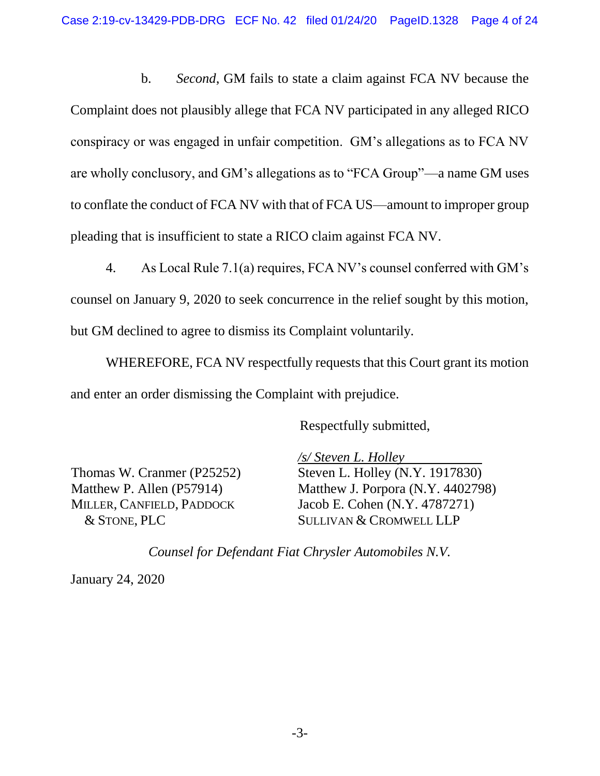b. *Second*, GM fails to state a claim against FCA NV because the Complaint does not plausibly allege that FCA NV participated in any alleged RICO conspiracy or was engaged in unfair competition. GM's allegations as to FCA NV are wholly conclusory, and GM's allegations as to "FCA Group"—a name GM uses to conflate the conduct of FCA NV with that of FCA US—amount to improper group pleading that is insufficient to state a RICO claim against FCA NV.

4. As Local Rule 7.1(a) requires, FCA NV's counsel conferred with GM's counsel on January 9, 2020 to seek concurrence in the relief sought by this motion, but GM declined to agree to dismiss its Complaint voluntarily.

WHEREFORE, FCA NV respectfully requests that this Court grant its motion and enter an order dismissing the Complaint with prejudice.

Respectfully submitted,

Thomas W. Cranmer (P25252) Matthew P. Allen (P57914) MILLER, CANFIELD, PADDOCK & STONE, PLC

*/s/ Steven L. Holley* Steven L. Holley (N.Y. 1917830) Matthew J. Porpora (N.Y. 4402798) Jacob E. Cohen (N.Y. 4787271) SULLIVAN & CROMWELL LLP

*Counsel for Defendant Fiat Chrysler Automobiles N.V.*

January 24, 2020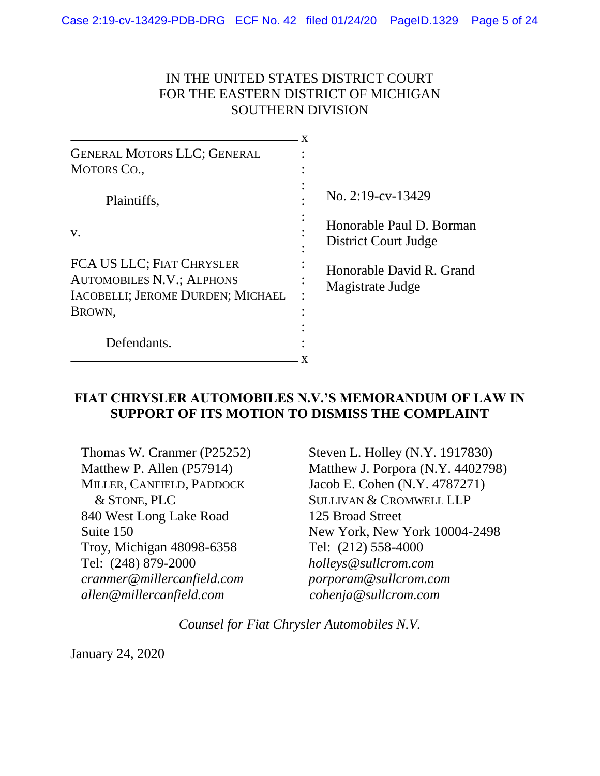#### IN THE UNITED STATES DISTRICT COURT FOR THE EASTERN DISTRICT OF MICHIGAN SOUTHERN DIVISION

| <b>GENERAL MOTORS LLC; GENERAL</b>                                                                           |                                                  |
|--------------------------------------------------------------------------------------------------------------|--------------------------------------------------|
| <b>MOTORS CO.,</b>                                                                                           |                                                  |
| Plaintiffs,                                                                                                  | No. 2:19-cv-13429                                |
| V.                                                                                                           | Honorable Paul D. Borman<br>District Court Judge |
| FCA US LLC; FIAT CHRYSLER<br><b>AUTOMOBILES N.V.; ALPHONS</b><br>IACOBELLI; JEROME DURDEN; MICHAEL<br>BROWN, | Honorable David R. Grand<br>Magistrate Judge     |
| Defendants.                                                                                                  |                                                  |

#### **FIAT CHRYSLER AUTOMOBILES N.V.'S MEMORANDUM OF LAW IN SUPPORT OF ITS MOTION TO DISMISS THE COMPLAINT**

Thomas W. Cranmer (P25252) Matthew P. Allen (P57914) MILLER, CANFIELD, PADDOCK & STONE, PLC 840 West Long Lake Road Suite 150 Troy, Michigan 48098-6358 Tel: (248) 879-2000 *cranmer@millercanfield.com allen@millercanfield.com*

Steven L. Holley (N.Y. 1917830) Matthew J. Porpora (N.Y. 4402798) Jacob E. Cohen (N.Y. 4787271) SULLIVAN & CROMWELL LLP 125 Broad Street New York, New York 10004-2498 Tel: (212) 558-4000 *holleys@sullcrom.com porporam@sullcrom.com cohenja@sullcrom.com*

*Counsel for Fiat Chrysler Automobiles N.V.*

January 24, 2020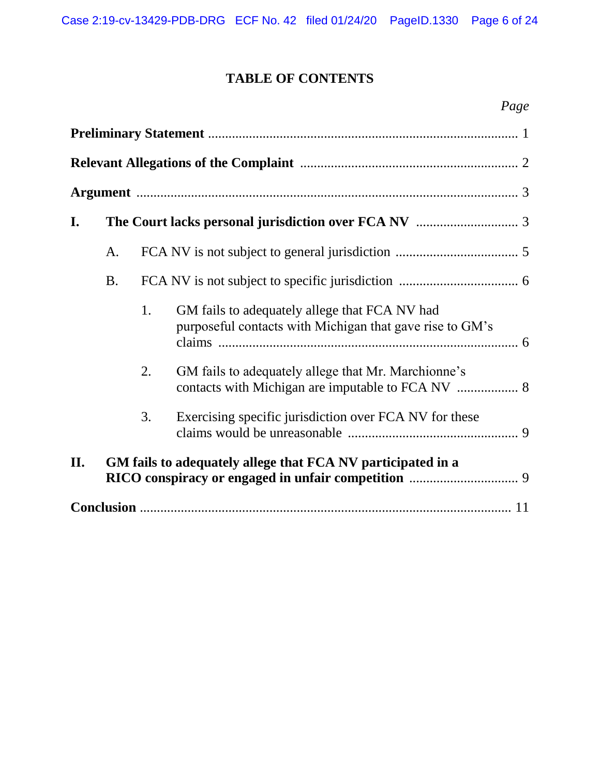# **TABLE OF CONTENTS**

| I.  |           |    |                                                                                                           |
|-----|-----------|----|-----------------------------------------------------------------------------------------------------------|
|     | A.        |    |                                                                                                           |
|     | <b>B.</b> |    |                                                                                                           |
|     |           | 1. | GM fails to adequately allege that FCA NV had<br>purposeful contacts with Michigan that gave rise to GM's |
|     |           | 2. | GM fails to adequately allege that Mr. Marchionne's                                                       |
|     |           | 3. | Exercising specific jurisdiction over FCA NV for these                                                    |
| II. |           |    | GM fails to adequately allege that FCA NV participated in a                                               |
|     |           |    |                                                                                                           |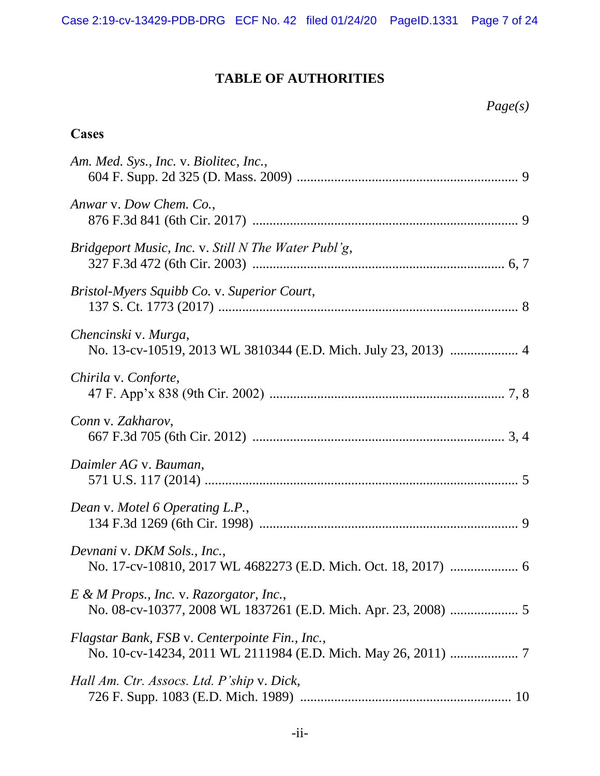## **TABLE OF AUTHORITIES**

*Page(s)*

#### **Cases**

| Am. Med. Sys., Inc. v. Biolitec, Inc.,                                                 |
|----------------------------------------------------------------------------------------|
| Anwar v. Dow Chem. Co.,                                                                |
| Bridgeport Music, Inc. v. Still N The Water Publ'g,                                    |
| Bristol-Myers Squibb Co. v. Superior Court,                                            |
| Chencinski v. Murga,<br>No. 13-cv-10519, 2013 WL 3810344 (E.D. Mich. July 23, 2013)  4 |
| Chirila v. Conforte,                                                                   |
| Conn v. Zakharov,                                                                      |
| Daimler AG v. Bauman,                                                                  |
| Dean v. Motel 6 Operating L.P.,                                                        |
| Devnani v. DKM Sols., Inc.,                                                            |
| E & M Props., Inc. v. Razorgator, Inc.,                                                |
| Flagstar Bank, FSB v. Centerpointe Fin., Inc.,                                         |
| Hall Am. Ctr. Assocs. Ltd. P'ship v. Dick,                                             |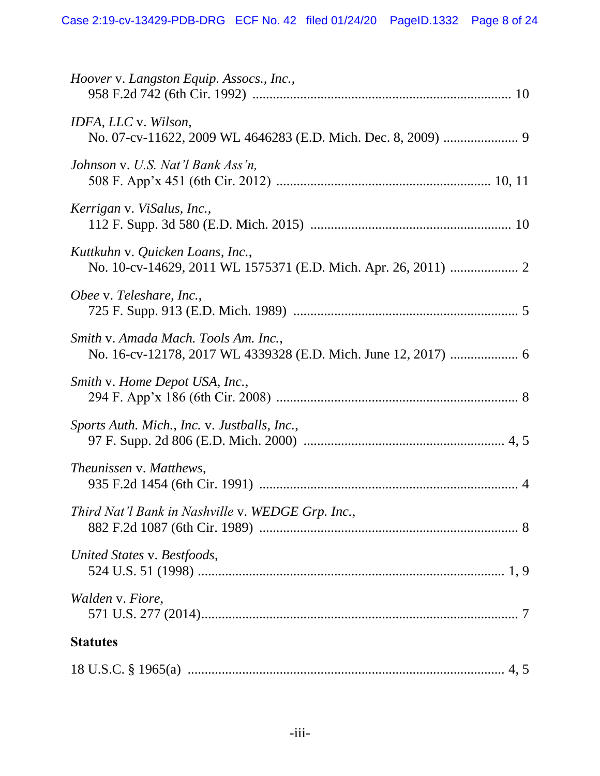| Hoover v. Langston Equip. Assocs., Inc.,          |
|---------------------------------------------------|
| IDFA, LLC v. Wilson,                              |
| Johnson v. U.S. Nat'l Bank Ass'n,                 |
| Kerrigan v. ViSalus, Inc.,                        |
| Kuttkuhn v. Quicken Loans, Inc.,                  |
| Obee v. Teleshare, Inc.,                          |
| Smith v. Amada Mach. Tools Am. Inc.,              |
| Smith v. Home Depot USA, Inc.,                    |
| Sports Auth. Mich., Inc. v. Justballs, Inc.,      |
| Theunissen v. Matthews,                           |
| Third Nat'l Bank in Nashville v. WEDGE Grp. Inc., |
| United States v. Bestfoods,                       |
| Walden v. Fiore,                                  |
| <b>Statutes</b>                                   |
|                                                   |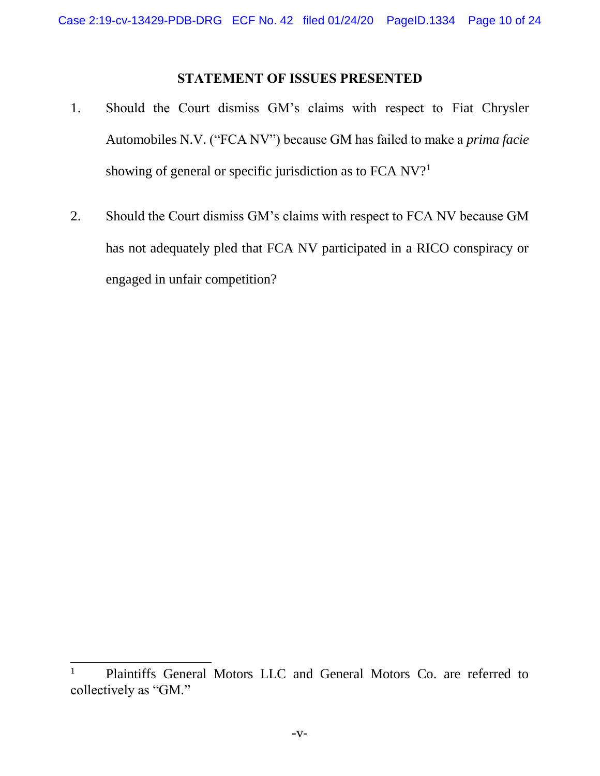#### **STATEMENT OF ISSUES PRESENTED**

- 1. Should the Court dismiss GM's claims with respect to Fiat Chrysler Automobiles N.V. ("FCA NV") because GM has failed to make a *prima facie* showing of general or specific jurisdiction as to FCA NV?<sup>1</sup>
- 2. Should the Court dismiss GM's claims with respect to FCA NV because GM has not adequately pled that FCA NV participated in a RICO conspiracy or engaged in unfair competition?

 $\overline{a}$ 

<sup>&</sup>lt;sup>1</sup> Plaintiffs General Motors LLC and General Motors Co. are referred to collectively as "GM."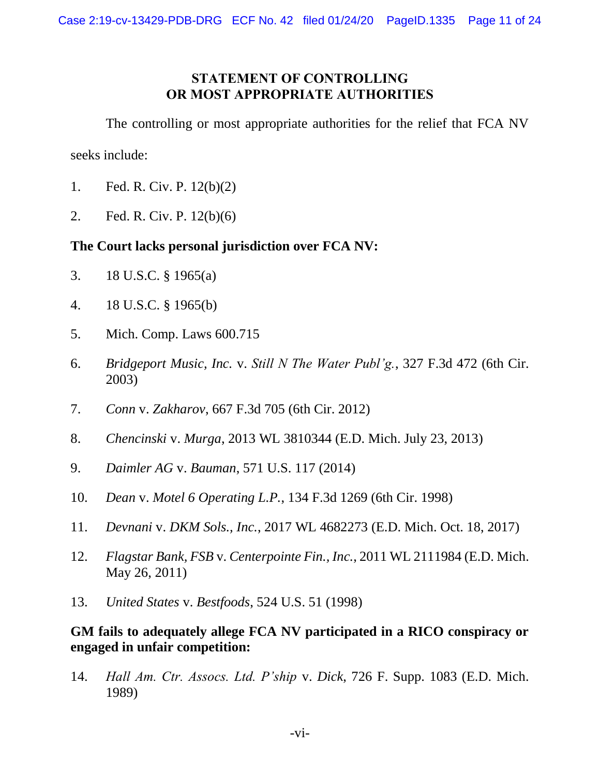#### **STATEMENT OF CONTROLLING OR MOST APPROPRIATE AUTHORITIES**

The controlling or most appropriate authorities for the relief that FCA NV

seeks include:

- 1. Fed. R. Civ. P. 12(b)(2)
- 2. Fed. R. Civ. P. 12(b)(6)

#### **The Court lacks personal jurisdiction over FCA NV:**

- 3. 18 U.S.C. § 1965(a)
- 4. 18 U.S.C. § 1965(b)
- 5. Mich. Comp. Laws 600.715
- 6. *Bridgeport Music, Inc.* v. *Still N The Water Publ'g.*, 327 F.3d 472 (6th Cir. 2003)
- 7. *Conn* v. *Zakharov*, 667 F.3d 705 (6th Cir. 2012)
- 8. *Chencinski* v. *Murga*, 2013 WL 3810344 (E.D. Mich. July 23, 2013)
- 9. *Daimler AG* v. *Bauman*, 571 U.S. 117 (2014)
- 10. *Dean* v. *Motel 6 Operating L.P.*, 134 F.3d 1269 (6th Cir. 1998)
- 11. *Devnani* v. *DKM Sols., Inc.*, 2017 WL 4682273 (E.D. Mich. Oct. 18, 2017)
- 12. *Flagstar Bank, FSB* v. *Centerpointe Fin., Inc.*, 2011 WL 2111984 (E.D. Mich. May 26, 2011)
- 13. *United States* v. *Bestfoods*, 524 U.S. 51 (1998)

#### **GM fails to adequately allege FCA NV participated in a RICO conspiracy or engaged in unfair competition:**

14. *Hall Am. Ctr. Assocs. Ltd. P'ship* v. *Dick*, 726 F. Supp. 1083 (E.D. Mich. 1989)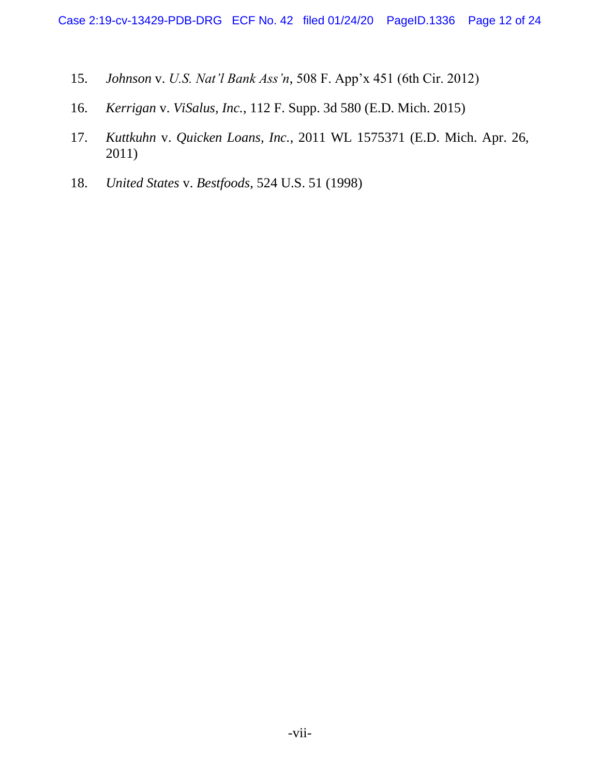- 15. *Johnson* v. *U.S. Nat'l Bank Ass'n*, 508 F. App'x 451 (6th Cir. 2012)
- 16. *Kerrigan* v. *ViSalus, Inc.*, 112 F. Supp. 3d 580 (E.D. Mich. 2015)
- 17. *Kuttkuhn* v. *Quicken Loans, Inc.*, 2011 WL 1575371 (E.D. Mich. Apr. 26, 2011)
- 18. *United States* v. *Bestfoods*, 524 U.S. 51 (1998)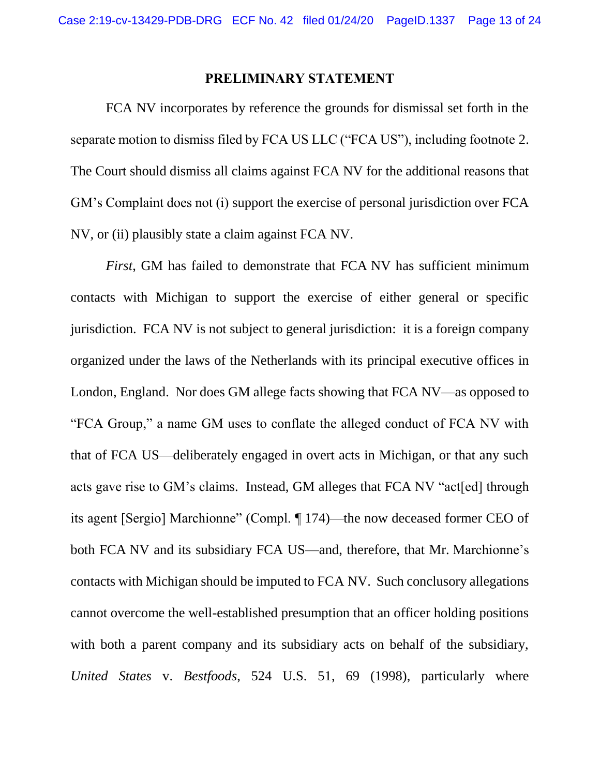#### **PRELIMINARY STATEMENT**

<span id="page-12-0"></span>FCA NV incorporates by reference the grounds for dismissal set forth in the separate motion to dismiss filed by FCA US LLC ("FCA US"), including footnote 2. The Court should dismiss all claims against FCA NV for the additional reasons that GM's Complaint does not (i) support the exercise of personal jurisdiction over FCA NV, or (ii) plausibly state a claim against FCA NV.

*First*, GM has failed to demonstrate that FCA NV has sufficient minimum contacts with Michigan to support the exercise of either general or specific jurisdiction. FCA NV is not subject to general jurisdiction: it is a foreign company organized under the laws of the Netherlands with its principal executive offices in London, England. Nor does GM allege facts showing that FCA NV—as opposed to "FCA Group," a name GM uses to conflate the alleged conduct of FCA NV with that of FCA US—deliberately engaged in overt acts in Michigan, or that any such acts gave rise to GM's claims. Instead, GM alleges that FCA NV "act[ed] through its agent [Sergio] Marchionne" (Compl. ¶ 174)—the now deceased former CEO of both FCA NV and its subsidiary FCA US—and, therefore, that Mr. Marchionne's contacts with Michigan should be imputed to FCA NV. Such conclusory allegations cannot overcome the well-established presumption that an officer holding positions with both a parent company and its subsidiary acts on behalf of the subsidiary, *United States* v. *Bestfoods*, 524 U.S. 51, 69 (1998), particularly where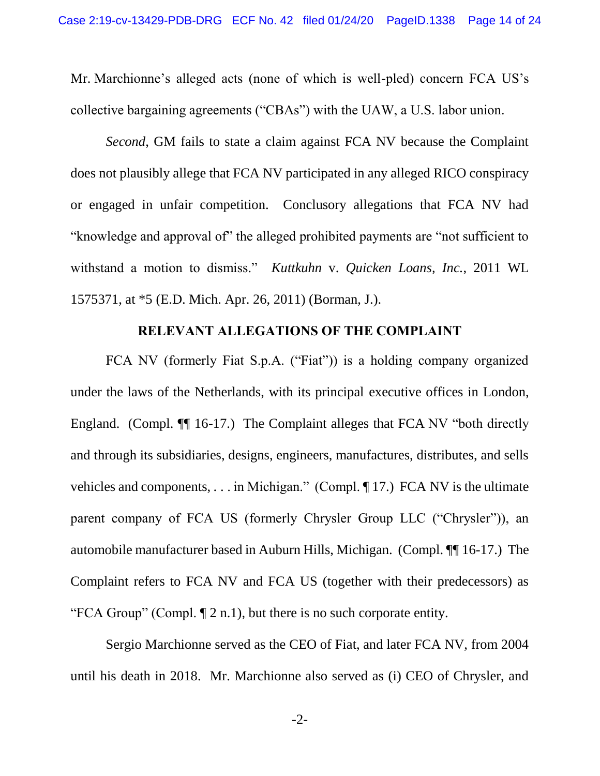Mr. Marchionne's alleged acts (none of which is well-pled) concern FCA US's collective bargaining agreements ("CBAs") with the UAW, a U.S. labor union.

*Second*, GM fails to state a claim against FCA NV because the Complaint does not plausibly allege that FCA NV participated in any alleged RICO conspiracy or engaged in unfair competition. Conclusory allegations that FCA NV had "knowledge and approval of" the alleged prohibited payments are "not sufficient to withstand a motion to dismiss." *Kuttkuhn* v. *Quicken Loans, Inc.*, 2011 WL 1575371, at \*5 (E.D. Mich. Apr. 26, 2011) (Borman, J.).

#### **RELEVANT ALLEGATIONS OF THE COMPLAINT**

<span id="page-13-0"></span>FCA NV (formerly Fiat S.p.A. ("Fiat")) is a holding company organized under the laws of the Netherlands, with its principal executive offices in London, England. (Compl. ¶ 16-17.) The Complaint alleges that FCA NV "both directly and through its subsidiaries, designs, engineers, manufactures, distributes, and sells vehicles and components, . . . in Michigan." (Compl. ¶ 17.) FCA NV is the ultimate parent company of FCA US (formerly Chrysler Group LLC ("Chrysler")), an automobile manufacturer based in Auburn Hills, Michigan. (Compl. ¶¶ 16-17.) The Complaint refers to FCA NV and FCA US (together with their predecessors) as "FCA Group" (Compl. ¶ 2 n.1), but there is no such corporate entity.

Sergio Marchionne served as the CEO of Fiat, and later FCA NV, from 2004 until his death in 2018. Mr. Marchionne also served as (i) CEO of Chrysler, and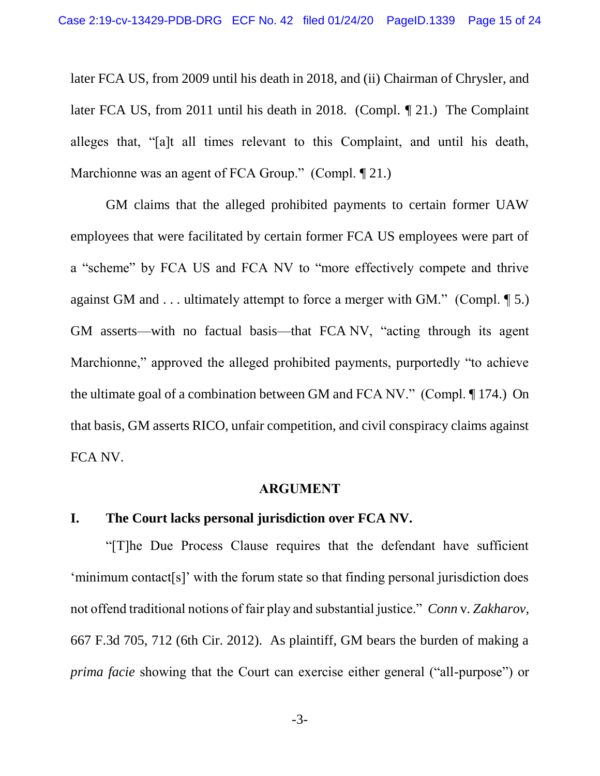later FCA US, from 2009 until his death in 2018, and (ii) Chairman of Chrysler, and later FCA US, from 2011 until his death in 2018. (Compl. ¶ 21.) The Complaint alleges that, "[a]t all times relevant to this Complaint, and until his death, Marchionne was an agent of FCA Group." (Compl. 121.)

GM claims that the alleged prohibited payments to certain former UAW employees that were facilitated by certain former FCA US employees were part of a "scheme" by FCA US and FCA NV to "more effectively compete and thrive against GM and . . . ultimately attempt to force a merger with GM." (Compl. ¶ 5.) GM asserts—with no factual basis—that FCA NV, "acting through its agent Marchionne," approved the alleged prohibited payments, purportedly "to achieve the ultimate goal of a combination between GM and FCA NV." (Compl. ¶ 174.) On that basis, GM asserts RICO, unfair competition, and civil conspiracy claims against FCA NV.

#### **ARGUMENT**

#### <span id="page-14-1"></span><span id="page-14-0"></span>**I. The Court lacks personal jurisdiction over FCA NV.**

"[T]he Due Process Clause requires that the defendant have sufficient 'minimum contact[s]' with the forum state so that finding personal jurisdiction does not offend traditional notions of fair play and substantial justice." *Conn* v*. Zakharov*, 667 F.3d 705, 712 (6th Cir. 2012). As plaintiff, GM bears the burden of making a *prima facie* showing that the Court can exercise either general ("all-purpose") or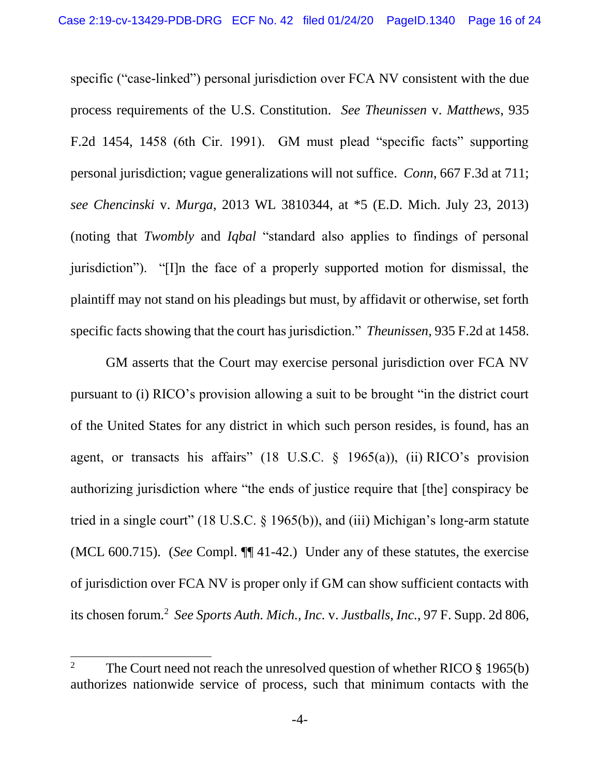specific ("case-linked") personal jurisdiction over FCA NV consistent with the due process requirements of the U.S. Constitution. *See Theunissen* v. *Matthews*, 935 F.2d 1454, 1458 (6th Cir. 1991). GM must plead "specific facts" supporting personal jurisdiction; vague generalizations will not suffice. *Conn*, 667 F.3d at 711; *see Chencinski* v. *Murga*, 2013 WL 3810344, at \*5 (E.D. Mich. July 23, 2013) (noting that *Twombly* and *Iqbal* "standard also applies to findings of personal jurisdiction"). "[I]n the face of a properly supported motion for dismissal, the plaintiff may not stand on his pleadings but must, by affidavit or otherwise, set forth specific facts showing that the court has jurisdiction." *Theunissen*, 935 F.2d at 1458.

GM asserts that the Court may exercise personal jurisdiction over FCA NV pursuant to (i) RICO's provision allowing a suit to be brought "in the district court of the United States for any district in which such person resides, is found, has an agent, or transacts his affairs" (18 U.S.C.  $\S$  1965(a)), (ii) RICO's provision authorizing jurisdiction where "the ends of justice require that [the] conspiracy be tried in a single court" (18 U.S.C.  $\S$  1965(b)), and (iii) Michigan's long-arm statute (MCL 600.715). (*See* Compl. ¶¶ 41-42.) Under any of these statutes, the exercise of jurisdiction over FCA NV is proper only if GM can show sufficient contacts with its chosen forum.<sup>2</sup> See Sports Auth. Mich., Inc. v. Justballs, Inc., 97 F. Supp. 2d 806,

 $\overline{2}$ <sup>2</sup> The Court need not reach the unresolved question of whether RICO § 1965(b) authorizes nationwide service of process, such that minimum contacts with the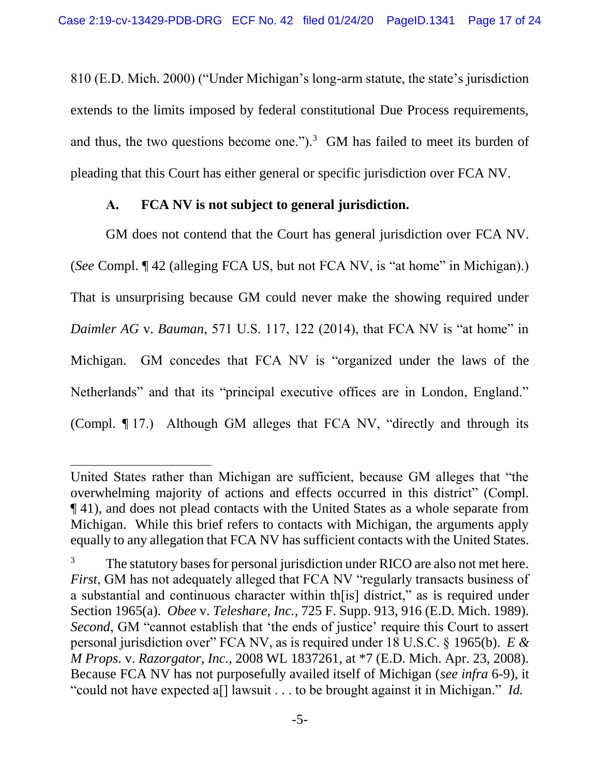810 (E.D. Mich. 2000) ("Under Michigan's long-arm statute, the state's jurisdiction extends to the limits imposed by federal constitutional Due Process requirements, and thus, the two questions become one.").<sup>3</sup> GM has failed to meet its burden of pleading that this Court has either general or specific jurisdiction over FCA NV.

#### **A. FCA NV is not subject to general jurisdiction.**

<span id="page-16-0"></span>GM does not contend that the Court has general jurisdiction over FCA NV. (*See* Compl. ¶ 42 (alleging FCA US, but not FCA NV, is "at home" in Michigan).) That is unsurprising because GM could never make the showing required under *Daimler AG* v. *Bauman*, 571 U.S. 117, 122 (2014), that FCA NV is "at home" in Michigan. GM concedes that FCA NV is "organized under the laws of the Netherlands" and that its "principal executive offices are in London, England." (Compl. ¶ 17.) Although GM alleges that FCA NV, "directly and through its

l

United States rather than Michigan are sufficient, because GM alleges that "the overwhelming majority of actions and effects occurred in this district" (Compl. ¶ 41), and does not plead contacts with the United States as a whole separate from Michigan. While this brief refers to contacts with Michigan, the arguments apply equally to any allegation that FCA NV has sufficient contacts with the United States.

<sup>&</sup>lt;sup>3</sup> The statutory bases for personal jurisdiction under RICO are also not met here. *First*, GM has not adequately alleged that FCA NV "regularly transacts business of a substantial and continuous character within th[is] district," as is required under Section 1965(a). *Obee* v. *Teleshare, Inc.*, 725 F. Supp. 913, 916 (E.D. Mich. 1989). *Second*, GM "cannot establish that 'the ends of justice' require this Court to assert personal jurisdiction over" FCA NV, as is required under 18 U.S.C. § 1965(b). *E & M Props.* v. *Razorgator, Inc.*, 2008 WL 1837261, at \*7 (E.D. Mich. Apr. 23, 2008). Because FCA NV has not purposefully availed itself of Michigan (*see infra* 6-9), it "could not have expected a[] lawsuit . . . to be brought against it in Michigan." *Id.*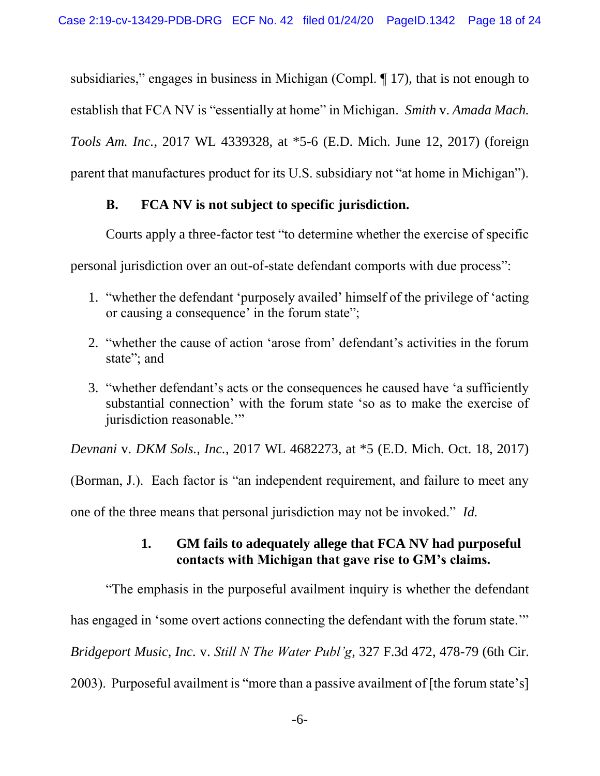subsidiaries," engages in business in Michigan (Compl. ¶ 17), that is not enough to establish that FCA NV is "essentially at home" in Michigan. *Smith* v. *Amada Mach. Tools Am. Inc.*, 2017 WL 4339328, at \*5-6 (E.D. Mich. June 12, 2017) (foreign parent that manufactures product for its U.S. subsidiary not "at home in Michigan").

### <span id="page-17-0"></span>**B. FCA NV is not subject to specific jurisdiction.**

Courts apply a three-factor test "to determine whether the exercise of specific

personal jurisdiction over an out-of-state defendant comports with due process":

- 1. "whether the defendant 'purposely availed' himself of the privilege of 'acting or causing a consequence' in the forum state";
- 2. "whether the cause of action 'arose from' defendant's activities in the forum state"; and
- 3. "whether defendant's acts or the consequences he caused have 'a sufficiently substantial connection' with the forum state 'so as to make the exercise of jurisdiction reasonable."

*Devnani* v. *DKM Sols., Inc.*, 2017 WL 4682273, at \*5 (E.D. Mich. Oct. 18, 2017)

(Borman, J.). Each factor is "an independent requirement, and failure to meet any

<span id="page-17-1"></span>one of the three means that personal jurisdiction may not be invoked." *Id.*

## **1. GM fails to adequately allege that FCA NV had purposeful contacts with Michigan that gave rise to GM's claims.**

"The emphasis in the purposeful availment inquiry is whether the defendant has engaged in 'some overt actions connecting the defendant with the forum state." *Bridgeport Music, Inc.* v. *Still N The Water Publ'g*, 327 F.3d 472, 478-79 (6th Cir. 2003). Purposeful availment is "more than a passive availment of [the forum state's]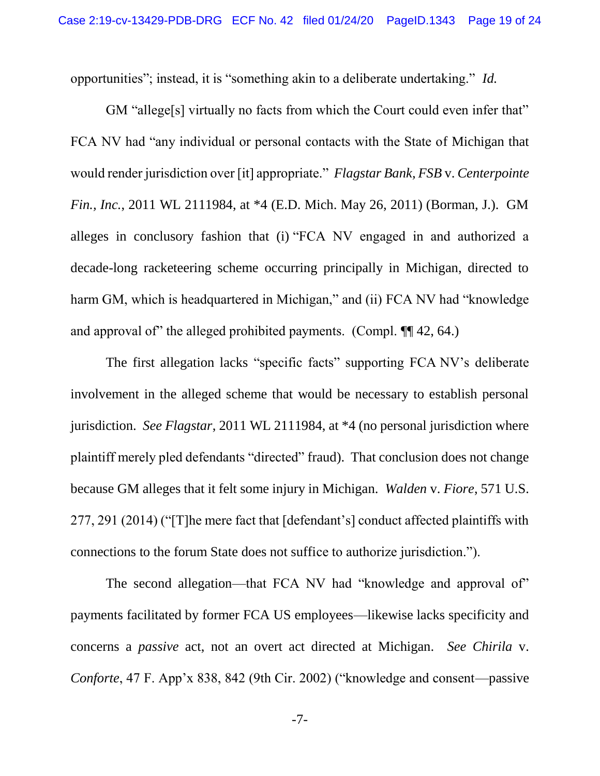opportunities"; instead, it is "something akin to a deliberate undertaking." *Id.*

GM "allege<sup>[s]</sup> virtually no facts from which the Court could even infer that" FCA NV had "any individual or personal contacts with the State of Michigan that would render jurisdiction over [it] appropriate." *Flagstar Bank, FSB* v. *Centerpointe Fin., Inc.*, 2011 WL 2111984, at \*4 (E.D. Mich. May 26, 2011) (Borman, J.). GM alleges in conclusory fashion that (i) "FCA NV engaged in and authorized a decade-long racketeering scheme occurring principally in Michigan, directed to harm GM, which is headquartered in Michigan," and (ii) FCA NV had "knowledge and approval of" the alleged prohibited payments. (Compl. ¶¶ 42, 64.)

The first allegation lacks "specific facts" supporting FCA NV's deliberate involvement in the alleged scheme that would be necessary to establish personal jurisdiction. *See Flagstar*, 2011 WL 2111984, at \*4 (no personal jurisdiction where plaintiff merely pled defendants "directed" fraud). That conclusion does not change because GM alleges that it felt some injury in Michigan. *Walden* v. *Fiore*, 571 U.S. 277, 291 (2014) ("[T]he mere fact that [defendant's] conduct affected plaintiffs with connections to the forum State does not suffice to authorize jurisdiction.").

The second allegation—that FCA NV had "knowledge and approval of" payments facilitated by former FCA US employees—likewise lacks specificity and concerns a *passive* act, not an overt act directed at Michigan. *See Chirila* v. *Conforte*, 47 F. App'x 838, 842 (9th Cir. 2002) ("knowledge and consent—passive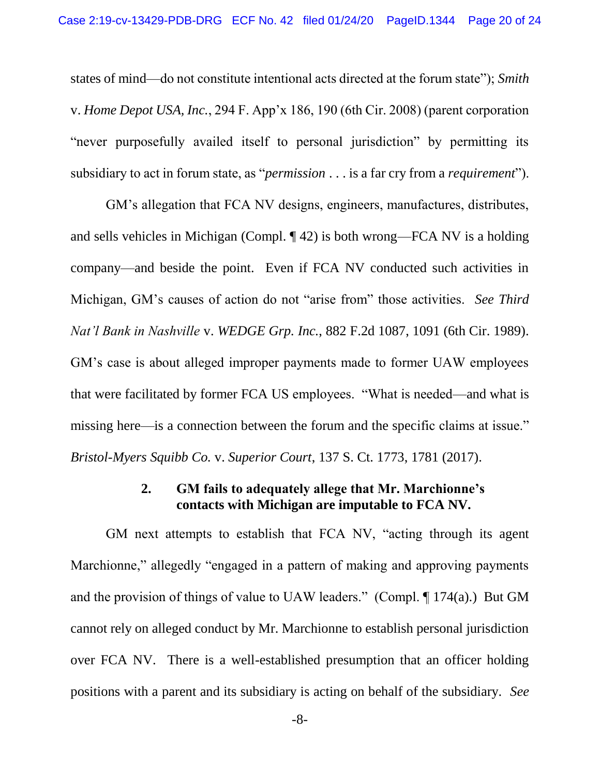states of mind—do not constitute intentional acts directed at the forum state"); *Smith*  v. *Home Depot USA, Inc.*, 294 F. App'x 186, 190 (6th Cir. 2008) (parent corporation "never purposefully availed itself to personal jurisdiction" by permitting its subsidiary to act in forum state, as "*permission* . . . is a far cry from a *requirement*").

GM's allegation that FCA NV designs, engineers, manufactures, distributes, and sells vehicles in Michigan (Compl. ¶ 42) is both wrong—FCA NV is a holding company—and beside the point. Even if FCA NV conducted such activities in Michigan, GM's causes of action do not "arise from" those activities. *See Third Nat'l Bank in Nashville* v. *WEDGE Grp. Inc.*, 882 F.2d 1087, 1091 (6th Cir. 1989). GM's case is about alleged improper payments made to former UAW employees that were facilitated by former FCA US employees. "What is needed—and what is missing here—is a connection between the forum and the specific claims at issue." *Bristol-Myers Squibb Co.* v. *Superior Court*, 137 S. Ct. 1773, 1781 (2017).

#### **2. GM fails to adequately allege that Mr. Marchionne's contacts with Michigan are imputable to FCA NV.**

<span id="page-19-0"></span>GM next attempts to establish that FCA NV, "acting through its agent Marchionne," allegedly "engaged in a pattern of making and approving payments and the provision of things of value to UAW leaders." (Compl. ¶ 174(a).) But GM cannot rely on alleged conduct by Mr. Marchionne to establish personal jurisdiction over FCA NV. There is a well-established presumption that an officer holding positions with a parent and its subsidiary is acting on behalf of the subsidiary. *See*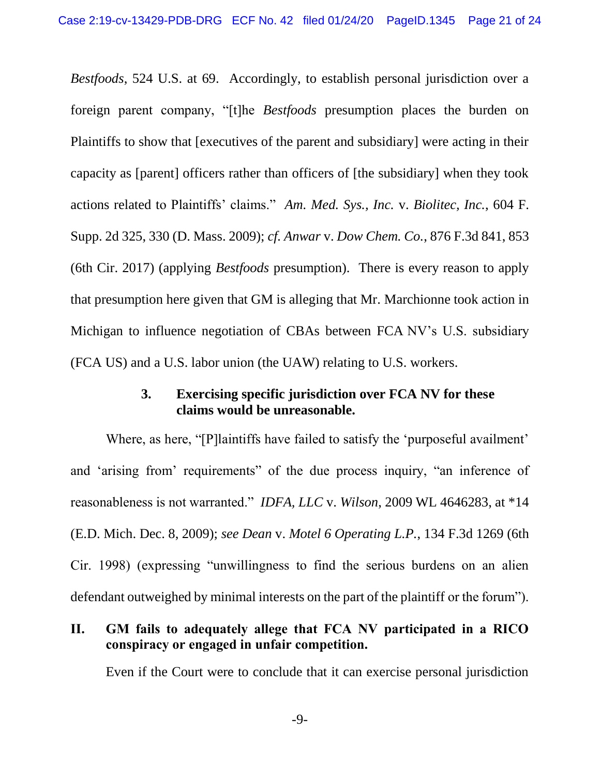*Bestfoods*, 524 U.S. at 69. Accordingly, to establish personal jurisdiction over a foreign parent company, "[t]he *Bestfoods* presumption places the burden on Plaintiffs to show that [executives of the parent and subsidiary] were acting in their capacity as [parent] officers rather than officers of [the subsidiary] when they took actions related to Plaintiffs' claims." *Am. Med. Sys., Inc.* v. *Biolitec, Inc.*, 604 F. Supp. 2d 325, 330 (D. Mass. 2009); *cf. Anwar* v. *Dow Chem. Co.*, 876 F.3d 841, 853 (6th Cir. 2017) (applying *Bestfoods* presumption). There is every reason to apply that presumption here given that GM is alleging that Mr. Marchionne took action in Michigan to influence negotiation of CBAs between FCA NV's U.S. subsidiary (FCA US) and a U.S. labor union (the UAW) relating to U.S. workers.

#### **3. Exercising specific jurisdiction over FCA NV for these claims would be unreasonable.**

<span id="page-20-0"></span>Where, as here, "[P]laintiffs have failed to satisfy the 'purposeful availment' and 'arising from' requirements" of the due process inquiry, "an inference of reasonableness is not warranted." *IDFA, LLC* v. *Wilson*, 2009 WL 4646283, at \*14 (E.D. Mich. Dec. 8, 2009); *see Dean* v. *Motel 6 Operating L.P.*, 134 F.3d 1269 (6th Cir. 1998) (expressing "unwillingness to find the serious burdens on an alien defendant outweighed by minimal interests on the part of the plaintiff or the forum").

#### <span id="page-20-1"></span>**II. GM fails to adequately allege that FCA NV participated in a RICO conspiracy or engaged in unfair competition.**

Even if the Court were to conclude that it can exercise personal jurisdiction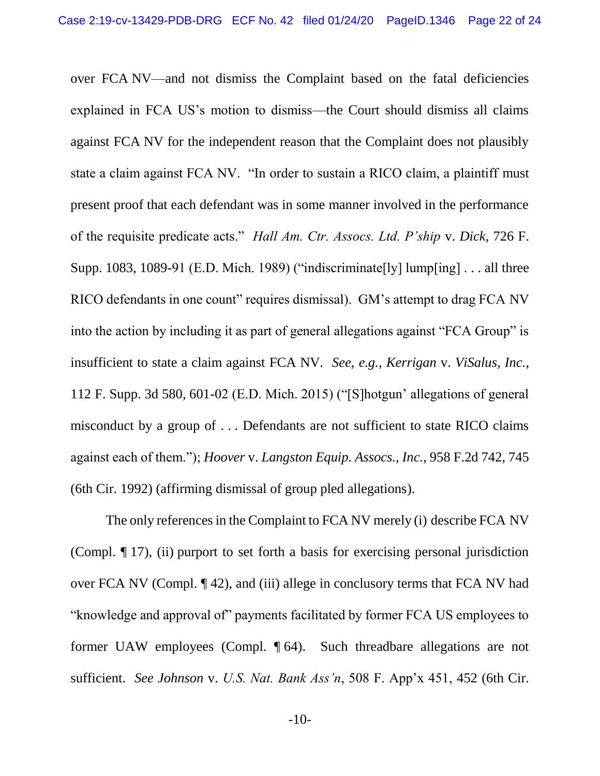over FCA NV—and not dismiss the Complaint based on the fatal deficiencies explained in FCA US's motion to dismiss—the Court should dismiss all claims against FCA NV for the independent reason that the Complaint does not plausibly state a claim against FCA NV. "In order to sustain a RICO claim, a plaintiff must present proof that each defendant was in some manner involved in the performance of the requisite predicate acts." *Hall Am. Ctr. Assocs. Ltd. P'ship* v. *Dick*, 726 F. Supp. 1083, 1089-91 (E.D. Mich. 1989) ("indiscriminate[ly] lump[ing] . . . all three RICO defendants in one count" requires dismissal). GM's attempt to drag FCA NV into the action by including it as part of general allegations against "FCA Group" is insufficient to state a claim against FCA NV. *See*, *e.g.*, *Kerrigan* v. *ViSalus, Inc.*, 112 F. Supp. 3d 580, 601-02 (E.D. Mich. 2015) ("[S]hotgun' allegations of general misconduct by a group of . . . Defendants are not sufficient to state RICO claims against each of them."); *Hoover* v. *Langston Equip. Assocs., Inc.*, 958 F.2d 742, 745 (6th Cir. 1992) (affirming dismissal of group pled allegations).

The only references in the Complaint to FCA NV merely (i) describe FCA NV (Compl. ¶ 17), (ii) purport to set forth a basis for exercising personal jurisdiction over FCA NV (Compl. ¶ 42), and (iii) allege in conclusory terms that FCA NV had "knowledge and approval of" payments facilitated by former FCA US employees to former UAW employees (Compl. ¶ 64). Such threadbare allegations are not sufficient. *See Johnson* v. *U.S. Nat. Bank Ass'n*, 508 F. App'x 451, 452 (6th Cir.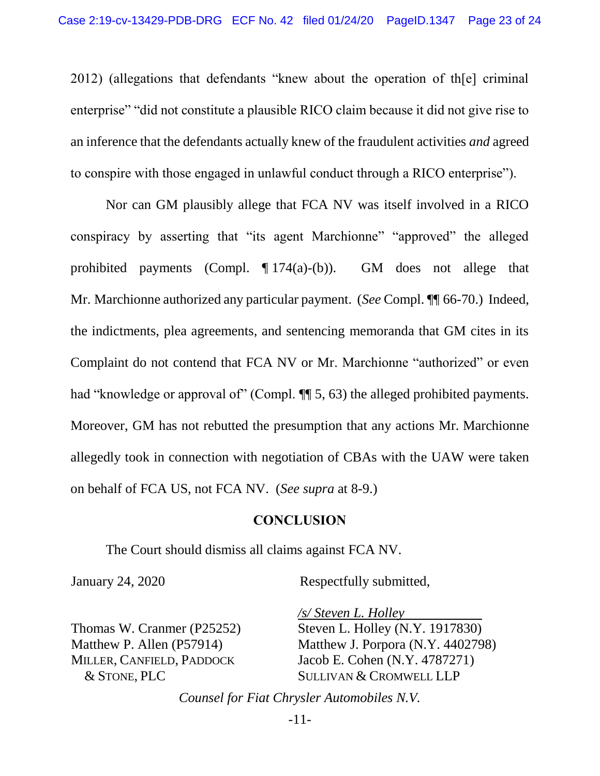2012) (allegations that defendants "knew about the operation of th[e] criminal enterprise" "did not constitute a plausible RICO claim because it did not give rise to an inference that the defendants actually knew of the fraudulent activities *and* agreed to conspire with those engaged in unlawful conduct through a RICO enterprise").

Nor can GM plausibly allege that FCA NV was itself involved in a RICO conspiracy by asserting that "its agent Marchionne" "approved" the alleged prohibited payments (Compl. ¶ 174(a)-(b)). GM does not allege that Mr. Marchionne authorized any particular payment. (*See* Compl. ¶¶ 66-70.) Indeed, the indictments, plea agreements, and sentencing memoranda that GM cites in its Complaint do not contend that FCA NV or Mr. Marchionne "authorized" or even had "knowledge or approval of" (Compl.  $\P$  5, 63) the alleged prohibited payments. Moreover, GM has not rebutted the presumption that any actions Mr. Marchionne allegedly took in connection with negotiation of CBAs with the UAW were taken on behalf of FCA US, not FCA NV. (*See supra* at 8-9.)

#### **CONCLUSION**

<span id="page-22-0"></span>The Court should dismiss all claims against FCA NV.

January 24, 2020

Respectfully submitted,

Thomas W. Cranmer (P25252) Matthew P. Allen (P57914) MILLER, CANFIELD, PADDOCK & STONE, PLC

*/s/ Steven L. Holley*  Steven L. Holley (N.Y. 1917830) Matthew J. Porpora (N.Y. 4402798) Jacob E. Cohen (N.Y. 4787271) SULLIVAN & CROMWELL LLP

*Counsel for Fiat Chrysler Automobiles N.V.*